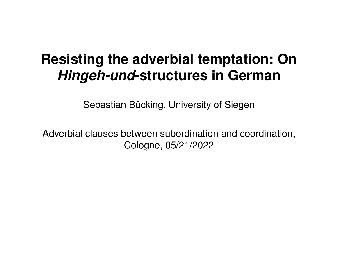# **Resisting the adverbial temptation: On** *Hingeh-und***-structures in German**

Sebastian Bücking, University of Siegen

Adverbial clauses between subordination and coordination, Cologne, 05/21/2022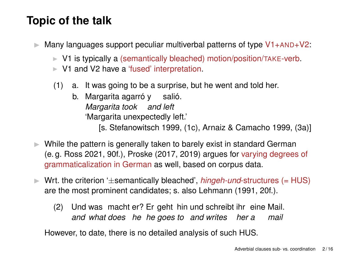## **Topic of the talk**

- $\triangleright$  Many languages support peculiar multiverbal patterns of type  $V1+AND+V2$ :
	- ▶ V1 is typically a (semantically bleached) motion/position/TAKE-verb.
	- ▶ V1 and V2 have a 'fused' interpretation.
	- (1) a. It was going to be a surprise, but he went and told her.
		- b. Margarita agarró y salió. *Margarita took and left* 'Margarita unexpectedly left.'

[s. [Stefanowitsch 1999,](#page-15-0) (1c), [Arnaiz & Camacho 1999,](#page-14-0) (3a)]

- $\triangleright$  While the pattern is generally taken to barely exist in standard German (e. g. [Ross 2021,](#page-15-1) 90f.), [Proske \(2017,](#page-15-2) [2019\)](#page-15-3) argues for varying degrees of grammaticalization in German as well, based on corpus data.
- ▶ Wrt. the criterion '±semantically bleached', *hingeh-und*-structures (= HUS) are the most prominent candidates; s. also [Lehmann \(1991,](#page-14-1) 20f.).
	- (2) Und was macht er? Er geht hin und schreibt ihr eine Mail. *and what does he he goes to and writes her a mail*

However, to date, there is no detailed analysis of such HUS.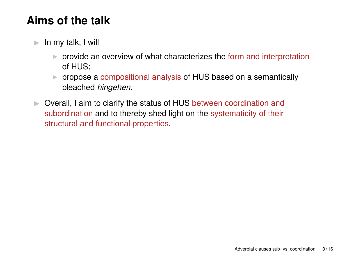## **Aims of the talk**

- $\blacktriangleright$  In my talk, I will
	- $\triangleright$  provide an overview of what characterizes the form and interpretation of HUS;
	- ▶ propose a compositional analysis of HUS based on a semantically bleached *hingehen*.
- ▶ Overall, I aim to clarify the status of HUS between coordination and subordination and to thereby shed light on the systematicity of their structural and functional properties.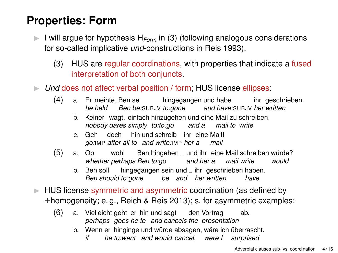## **Properties: Form**

- <span id="page-3-0"></span>▶ I will argue for hypothesis H*Form* in [\(3\)](#page-3-0) (following analogous considerations for so-called implicative *und*-constructions in [Reis 1993\)](#page-15-4).
	- (3) HUS are regular coordinations, with properties that indicate a fused interpretation of both conjuncts.
- ▶ *Und* does not affect verbal position / form; HUS license ellipses:
	- (4) a. Er meinte, Ben sei hingegangen und habe *he held Ben be:*SUBJV *to:gone and have:*SUBJV *her written* ihr geschrieben.
		- b. Keiner wagt, einfach hinzugehen und eine Mail zu schreiben. *nobody dares simply to:to:go and a mail to write*
		- c. Geh doch hin und schreib ihr eine Mail! *go:*IMP *after all to and write:*IMP *her a mail*
	- (5) a. Ob *whether perhaps Ben to:go and her a* wohl Ben hingehen <sub>−</sub> und ihr eine Mail schreiben würde? *mail write would*
		- b. Ben soll *Ben should to:gone* hingegangen sein und <sub>−</sub> ihr geschrieben haben. *be and her written have*
- ▶ HUS license symmetric and asymmetric coordination (as defined by  $\pm$ homogeneity; e.g., [Reich & Reis 2013\)](#page-15-5); s. for asymmetric examples:
	- (6) a. Vielleicht geht er hin und sagt den Vortrag *perhaps goes he to and cancels the presentation* ab.
		- b. Wenn er hinginge und würde absagen, wäre ich überrascht.
			- *if he to:went and would cancel, were I surprised*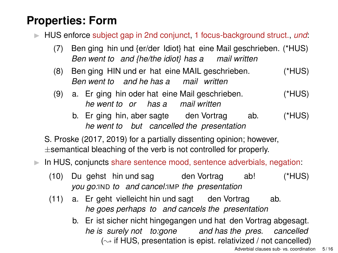#### **Properties: Form**

▶ HUS enforce subject gap in 2nd conjunct, 1 focus-background struct., *und*:

- (7) Ben ging hin und {er/der Idiot} hat eine Mail geschrieben. (\*HUS) *Ben went to and {he/the idiot} has a mail written*
- (8) Ben ging HIN und er hat eine MAIL geschrieben. *Ben went to and he has a mail written* (\*HUS)
- (9) a. Er ging hin oder hat eine Mail geschrieben. *he went to or has a mail written* (\*HUS)
	- b. Er ging hin, aber sagte den Vortrag *he went to but cancelled the presentation* ab. (\*HUS)

S. [Proske \(2017,](#page-15-2) [2019\)](#page-15-3) for a partially dissenting opinion; however,  $\pm$ semantical bleaching of the verb is not controlled for properly.

▶ In HUS, conjuncts share sentence mood, sentence adverbials, negation:

- $(10)$ *you go:*IND *to and cancel:*IMP *the presentation* gehst hin und sag den Vortrag ab! (\*HUS)
- (11) a. Er geht vielleicht hin und sagt den Vortrag *he goes perhaps to and cancels the presentation* ab.
	- b. Er ist sicher nicht hingegangen und hat den Vortrag abgesagt. *he is surely not to:gone and has the pres. cancelled*  $(\sim$  if HUS, presentation is epist. relativized / not cancelled)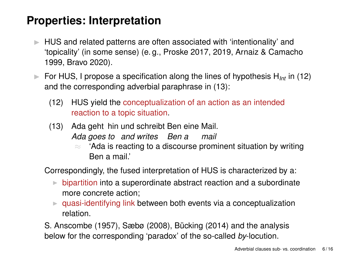#### **Properties: Interpretation**

- HUS and related patterns are often associated with 'intentionality' and 'topicality' (in some sense) (e. g., [Proske 2017,](#page-15-2) [2019,](#page-15-3) [Arnaiz & Camacho](#page-14-0) [1999,](#page-14-0) [Bravo 2020\)](#page-14-2).
- <span id="page-5-1"></span><span id="page-5-0"></span>▶ For HUS, I propose a specification along the lines of hypothesis H<sub>Int</sub> in [\(12\)](#page-5-0) and the corresponding adverbial paraphrase in [\(13\)](#page-5-1):
	- (12) HUS yield the conceptualization of an action as an intended reaction to a topic situation.
	- (13) Ada geht hin und schreibt Ben eine Mail. *Ada goes to and writes Ben a mail*
		- ≈ 'Ada is reacting to a discourse prominent situation by writing Ben a mail'

Correspondingly, the fused interpretation of HUS is characterized by a:

- $\triangleright$  bipartition into a superordinate abstract reaction and a subordinate more concrete action;
- $\triangleright$  quasi-identifying link between both events via a conceptualization relation.

S. [Anscombe \(1957\)](#page-14-3), [Sæbø \(2008\)](#page-15-6), [Bücking \(2014\)](#page-14-4) and the analysis below for the corresponding 'paradox' of the so-called *by*-locution.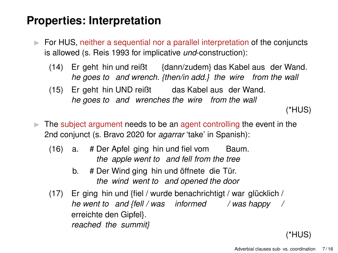#### **Properties: Interpretation**

- ▶ For HUS, neither a sequential nor a parallel interpretation of the conjuncts is allowed (s. [Reis 1993](#page-15-4) for implicative *und*-construction):
	- $(14)$ *he goes to and wrench. {then/in add.} the wire from the wall* geht hin und reißt {dann/zudem} das Kabel aus der Wand.
	- $(15)$ *he goes to and wrenches the wire from the wall* geht hin UND reißt das Kabel aus der Wand.

(\*HUS)

- $\triangleright$  The subject argument needs to be an agent controlling the event in the 2nd conjunct (s. [Bravo 2020](#page-14-2) for *agarrar* 'take' in Spanish):
	- (16) a. # Der Apfel ging hin und fiel vom Baum. *the apple went to and fell from the tree*
		- b. # Der Wind ging hin und öffnete die Tür. *the wind went to and opened the door*
	- $(17)$ *he went to and {fell / was informed / was happy /* ging hin und {fiel / wurde benachrichtigt / war glücklich / erreichte den Gipfel}. *reached the summit}*

#### (\*HUS)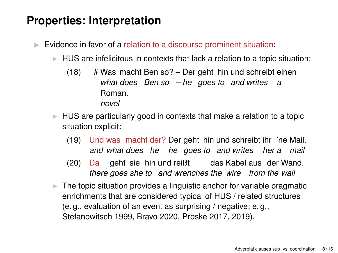#### **Properties: Interpretation**

- ▶ Evidence in favor of a relation to a discourse prominent situation:
	- HUS are infelicitous in contexts that lack a relation to a topic situation:
		- (18) # Was macht Ben so? Der geht hin und schreibt einen *what does Ben so – he goes to and writes a* Roman. *novel*
	- $\triangleright$  HUS are particularly good in contexts that make a relation to a topic situation explicit:
		- (19) Und was macht der? Der geht hin und schreibt ihr 'ne Mail. *and what does he he goes to and writes her a mail*
		- $(20)$ *there* goes she to and wrenches the wire from the wall geht sie hin und reißt das Kabel aus der Wand.
	- $\triangleright$  The topic situation provides a linguistic anchor for variable pragmatic enrichments that are considered typical of HUS / related structures (e. g., evaluation of an event as surprising / negative; e. g., [Stefanowitsch 1999,](#page-15-0) [Bravo 2020,](#page-14-2) [Proske 2017,](#page-15-2) [2019\)](#page-15-3).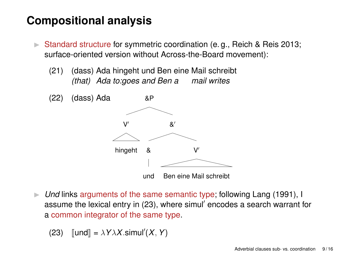#### **Compositional analysis**

- ▶ Standard structure for symmetric coordination (e.g., [Reich & Reis 2013;](#page-15-5) surface-oriented version without Across-the-Board movement):
	- (21) (dass) Ada hingeht und Ben eine Mail schreibt *(that) Ada to:goes and Ben a mail writes*



▶ *Und* links arguments of the same semantic type; following [Lang \(1991\)](#page-14-5), I assume the lexical entry in [\(23\)](#page-8-0), where simul′ encodes a search warrant for a common integrator of the same type.

<span id="page-8-0"></span>(23) 
$$
[und] = \lambda Y \lambda X . \text{simul}'(X, Y)
$$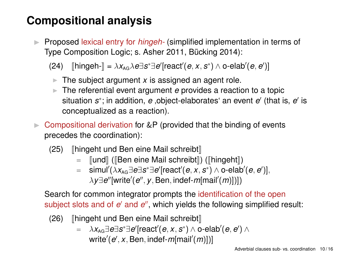#### **Compositional analysis**

▶ Proposed lexical entry for *hingeh-* (simplified implementation in terms of Type Composition Logic; s. [Asher 2011,](#page-14-6) [Bücking 2014\)](#page-14-4):

(24)  $[\text{hingeh-}] = \lambda x_{AG} \lambda e \exists s^* \exists e' [\text{react}'(e, x, s^*) \wedge \text{o-elab}'(e, e')]$ 

- $\blacktriangleright$  The subject argument x is assigned an agent role.
- **▶ The referential event argument** *e* **provides a reaction to a topic** situation s<sup>\*</sup>; in addition, e ,object-elaborates' an event e' (that is, e' is conceptualized as a reaction).
- $\triangleright$  Compositional derivation for &P (provided that the binding of events precedes the coordination):
	- $(25)$  [hingeht und Ben eine Mail schreibt]
		- $=$   $\lceil \text{und} \rceil$  ( $\lceil \text{Ben eine Mail schreibt} \rceil$ ) ( $\lceil \text{hingcht} \rceil$ )
		- = simul′ (λ*x*AG∃*e*∃*s* <sup>∗</sup>∃*e* ′ [react′ (*e*, *x*, *s* ∗ ) ∧ o-elab′ (*e*, *e* ′ )], λ*y*∃*e* ′′[write′ (*e* ′′ , *y*,Ben, indef-*m*[mail′ (*m*)])])

Search for common integrator prompts the identification of the open subject slots and of *e'* and *e''*, which yields the following simplified result:

- $(26)$  | hingeht und Ben eine Mail schreibt
	- $\Rightarrow$   $\lambda x_{AG} \exists e \exists s^* \exists e'$ [react' $(e, x, s^*) \wedge$  o-elab' $(e, e') \wedge$ write′ (*e* ′ , *x*,Ben, indef-*m*[mail′ (*m*)])]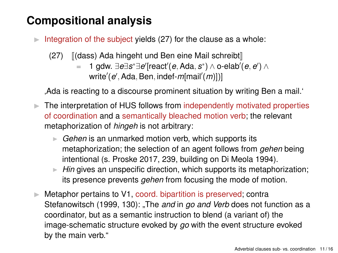#### **Compositional analysis**

- <span id="page-10-0"></span> $\triangleright$  Integration of the subject yields [\(27\)](#page-10-0) for the clause as a whole:
	- (27)  $\left[\frac{d}{d} \times \frac{1}{d} \times \frac{1}{d} \times \frac{1}{d} \times \frac{1}{d} \times \frac{1}{d} \times \frac{1}{d} \times \frac{1}{d} \times \frac{1}{d} \times \frac{1}{d} \times \frac{1}{d} \times \frac{1}{d} \times \frac{1}{d} \times \frac{1}{d} \times \frac{1}{d} \times \frac{1}{d} \times \frac{1}{d} \times \frac{1}{d} \times \frac{1}{d} \times \frac{1}{d} \times \frac{1}{d} \times \frac{1}{d} \times \frac{1}{d} \times \frac{1}{d$ 
		- = 1 gdw. ∃*e*∃*s* <sup>∗</sup>∃*e* ′ [react′ (*e*,Ada, *s* ∗ ) ∧ o-elab′ (*e*, *e* ′ ) ∧ write′ (*e* ′ ,Ada,Ben, indef-*m*[mail′ (*m*)])]

'Ada is reacting to a discourse prominent situation by writing Ben a mail.'

- ▶ The interpretation of HUS follows from independently motivated properties of coordination and a semantically bleached motion verb; the relevant metaphorization of *hingeh* is not arbitrary:
	- **► Gehen** is an unmarked motion verb, which supports its metaphorization; the selection of an agent follows from *gehen* being intentional (s. [Proske 2017,](#page-15-2) 239, building on [Di Meola 1994\)](#page-14-7).
	- ▶ *Hin* gives an unspecific direction, which supports its metaphorization; its presence prevents *gehen* from focusing the mode of motion.
- $\triangleright$  Metaphor pertains to V1, coord. bipartition is preserved; contra [Stefanowitsch \(1999,](#page-15-0) 130): "The *and* in *go and Verb* does not function as a coordinator, but as a semantic instruction to blend (a variant of) the image-schematic structure evoked by *go* with the event structure evoked by the main verb."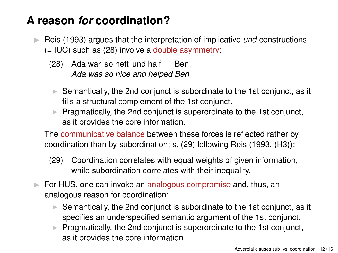#### **A reason** *for* **coordination?**

- <span id="page-11-0"></span>▶ [Reis \(1993\)](#page-15-4) argues that the interpretation of implicative *und*-constructions (= IUC) such as [\(28\)](#page-11-0) involve a double asymmetry:
	- (28) Ada war so nett und half *Ada was so nice and helped Ben* Ben.
	- ▶ Semantically, the 2nd conjunct is subordinate to the 1st conjunct, as it fills a structural complement of the 1st conjunct.
	- ▶ Pragmatically, the 2nd conjunct is superordinate to the 1st conjunct, as it provides the core information.

The communicative balance between these forces is reflected rather by coordination than by subordination; s. [\(29\)](#page-11-1) following [Reis \(1993,](#page-15-4) (H3)):

- <span id="page-11-1"></span>(29) Coordination correlates with equal weights of given information, while subordination correlates with their inequality.
- ▶ For HUS, one can invoke an analogous compromise and, thus, an analogous reason for coordination:
	- ▶ Semantically, the 2nd conjunct is subordinate to the 1st conjunct, as it specifies an underspecified semantic argument of the 1st conjunct.
	- Pragmatically, the 2nd conjunct is superordinate to the 1st conjunct, as it provides the core information.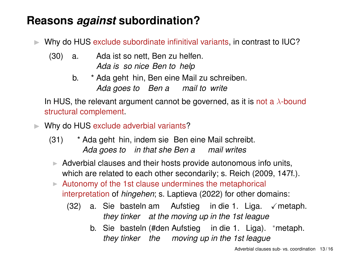#### **Reasons** *against* **subordination?**

Why do HUS exclude subordinate infinitival variants, in contrast to IUC?

- $(30)$  a. *Ada is so nice Ben to help* ist so nett, Ben zu helfen.
	- b. \* Ada geht hin, Ben eine Mail zu schreiben. *Ada goes to Ben a mail to write*

In HUS, the relevant argument cannot be governed, as it is not a  $\lambda$ -bound structural complement.

- ▶ Why do HUS exclude adverbial variants?
	- (31) \* Ada geht hin, indem sie Ben eine Mail schreibt. *Ada goes to in that she Ben a mail writes*
	- $\triangleright$  Adverbial clauses and their hosts provide autonomous info units, which are related to each other secondarily; s. [Reich \(2009,](#page-15-7) 147f.).
	- ▶ Autonomy of the 1st clause undermines the metaphorical interpretation of *hingehen*; s. [Laptieva \(2022\)](#page-14-8) for other domains:
		- (32) a. Sie basteln am Aufstieg in die 1. Liga. ✓metaph. *they tinker at the moving up in the 1st league*
			- b. Sie basteln (#den Aufstieg in die 1. Liga). \*metaph. *they tinker the moving up in the 1st league*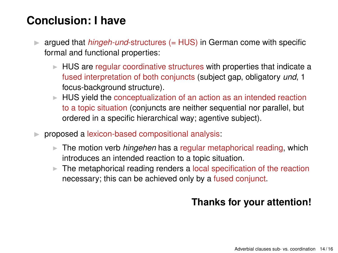#### **Conclusion: I have**

- ▶ argued that *hingeh-und*-structures (= HUS) in German come with specific formal and functional properties:
	- ▶ HUS are regular coordinative structures with properties that indicate a fused interpretation of both conjuncts (subject gap, obligatory *und*, 1 focus-background structure).
	- $\blacktriangleright$  HUS yield the conceptualization of an action as an intended reaction to a topic situation (conjuncts are neither sequential nor parallel, but ordered in a specific hierarchical way; agentive subject).
- ▶ proposed a lexicon-based compositional analysis:
	- ▶ The motion verb *hingehen* has a regular metaphorical reading, which introduces an intended reaction to a topic situation.
	- $\triangleright$  The metaphorical reading renders a local specification of the reaction necessary; this can be achieved only by a fused conjunct.

#### **Thanks for your attention!**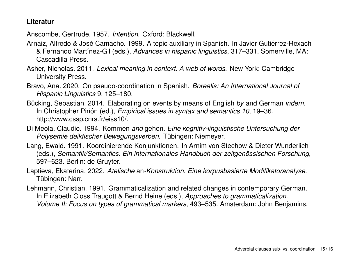#### **Literatur**

<span id="page-14-3"></span>Anscombe, Gertrude. 1957. *Intention*. Oxford: Blackwell.

- <span id="page-14-0"></span>Arnaiz, Alfredo & José Camacho. 1999. A topic auxiliary in Spanish. In Javier Gutiérrez-Rexach & Fernando Martínez-Gil (eds.), *Advances in hispanic linguistics*, 317–331. Somerville, MA: Cascadilla Press.
- <span id="page-14-6"></span>Asher, Nicholas. 2011. *Lexical meaning in context. A web of words*. New York: Cambridge University Press.
- <span id="page-14-2"></span>Bravo, Ana. 2020. On pseudo-coordination in Spanish. *Borealis: An International Journal of Hispanic Linguistics* 9. 125–180.
- <span id="page-14-4"></span>Bücking, Sebastian. 2014. Elaborating on events by means of English *by* and German *indem*. In Christopher Piñón (ed.), *Empirical issues in syntax and semantics 10*, 19–36. http://www.cssp.cnrs.fr/eiss10/.
- <span id="page-14-7"></span>Di Meola, Claudio. 1994. Kommen *and* gehen*. Eine kognitiv-linguistische Untersuchung der Polysemie deiktischer Bewegungsverben*. Tübingen: Niemeyer.
- <span id="page-14-5"></span>Lang, Ewald. 1991. Koordinierende Konjunktionen. In Arnim von Stechow & Dieter Wunderlich (eds.), *Semantik/Semantics. Ein internationales Handbuch der zeitgenössischen Forschung*, 597–623. Berlin: de Gruyter.
- <span id="page-14-8"></span>Laptieva, Ekaterina. 2022. *Atelische* an*-Konstruktion. Eine korpusbasierte Modifikatoranalyse*. Tübingen: Narr.
- <span id="page-14-1"></span>Lehmann, Christian. 1991. Grammaticalization and related changes in contemporary German. In Elizabeth Closs Traugott & Bernd Heine (eds.), *Approaches to grammaticalization. Volume II: Focus on types of grammatical markers*, 493–535. Amsterdam: John Benjamins.